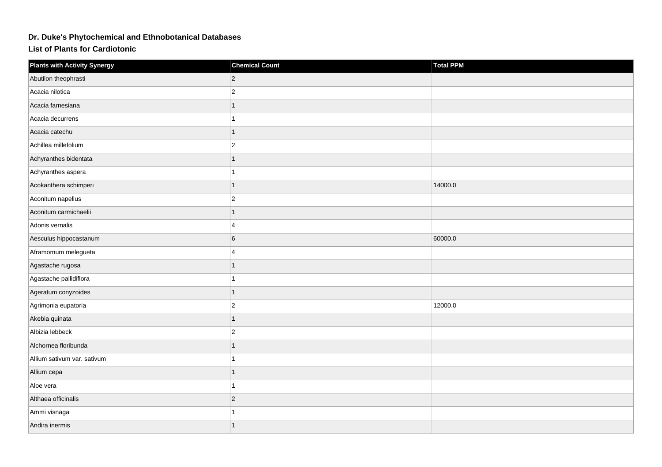## **Dr. Duke's Phytochemical and Ethnobotanical Databases**

**List of Plants for Cardiotonic**

| <b>Plants with Activity Synergy</b> | <b>Chemical Count</b>   | Total PPM |
|-------------------------------------|-------------------------|-----------|
| Abutilon theophrasti                | $ 2\rangle$             |           |
| Acacia nilotica                     | $ 2\rangle$             |           |
| Acacia farnesiana                   | $\mathbf{1}$            |           |
| Acacia decurrens                    | 1                       |           |
| Acacia catechu                      | $\overline{1}$          |           |
| Achillea millefolium                | $ 2\rangle$             |           |
| Achyranthes bidentata               | 1                       |           |
| Achyranthes aspera                  | 1                       |           |
| Acokanthera schimperi               | $\mathbf{1}$            | 14000.0   |
| Aconitum napellus                   | $ 2\rangle$             |           |
| Aconitum carmichaelii               | $\overline{1}$          |           |
| Adonis vernalis                     | $\overline{4}$          |           |
| Aesculus hippocastanum              | 6                       | 60000.0   |
| Aframomum melegueta                 | $\overline{\mathbf{4}}$ |           |
| Agastache rugosa                    | 1                       |           |
| Agastache pallidiflora              | 1                       |           |
| Ageratum conyzoides                 | $\mathbf{1}$            |           |
| Agrimonia eupatoria                 | $ 2\rangle$             | 12000.0   |
| Akebia quinata                      | $\mathbf{1}$            |           |
| Albizia lebbeck                     | $\vert$ 2               |           |
| Alchornea floribunda                | 1                       |           |
| Allium sativum var. sativum         | 1                       |           |
| Allium cepa                         |                         |           |
| Aloe vera                           | 1                       |           |
| Althaea officinalis                 | $ 2\rangle$             |           |
| Ammi visnaga                        | 1                       |           |
| Andira inermis                      | 1                       |           |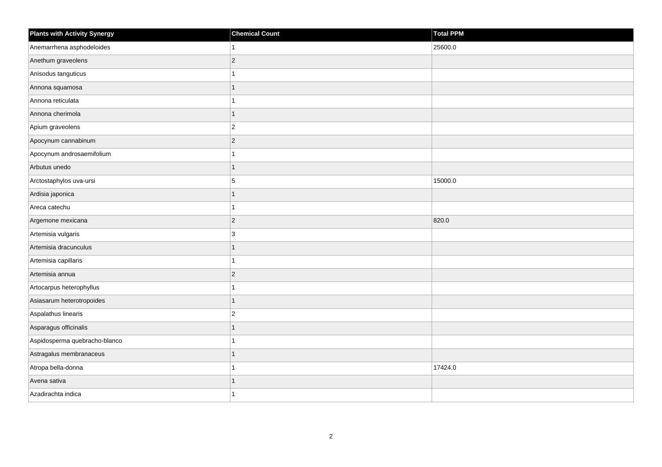| <b>Plants with Activity Synergy</b> | <b>Chemical Count</b> | <b>Total PPM</b> |
|-------------------------------------|-----------------------|------------------|
| Anemarrhena asphodeloides           | 1                     | 25600.0          |
| Anethum graveolens                  | $ 2\rangle$           |                  |
| Anisodus tanguticus                 | 1                     |                  |
| Annona squamosa                     | 1                     |                  |
| Annona reticulata                   | 1                     |                  |
| Annona cherimola                    | $\overline{1}$        |                  |
| Apium graveolens                    | $ 2\rangle$           |                  |
| Apocynum cannabinum                 | $\overline{2}$        |                  |
| Apocynum androsaemifolium           | 1                     |                  |
| Arbutus unedo                       | $\overline{1}$        |                  |
| Arctostaphylos uva-ursi             | 5                     | 15000.0          |
| Ardisia japonica                    | $\mathbf{1}$          |                  |
| Areca catechu                       | $\mathbf{1}$          |                  |
| Argemone mexicana                   | $ 2\rangle$           | 820.0            |
| Artemisia vulgaris                  | 3                     |                  |
| Artemisia dracunculus               | $\overline{1}$        |                  |
| Artemisia capillaris                | 1                     |                  |
| Artemisia annua                     | $ 2\rangle$           |                  |
| Artocarpus heterophyllus            | $\mathbf{1}$          |                  |
| Asiasarum heterotropoides           | 1                     |                  |
| Aspalathus linearis                 | $ 2\rangle$           |                  |
| Asparagus officinalis               | $\overline{1}$        |                  |
| Aspidosperma quebracho-blanco       | 1                     |                  |
| Astragalus membranaceus             | 1                     |                  |
| Atropa bella-donna                  | $\mathbf{1}$          | 17424.0          |
| Avena sativa                        |                       |                  |
| Azadirachta indica                  | 1                     |                  |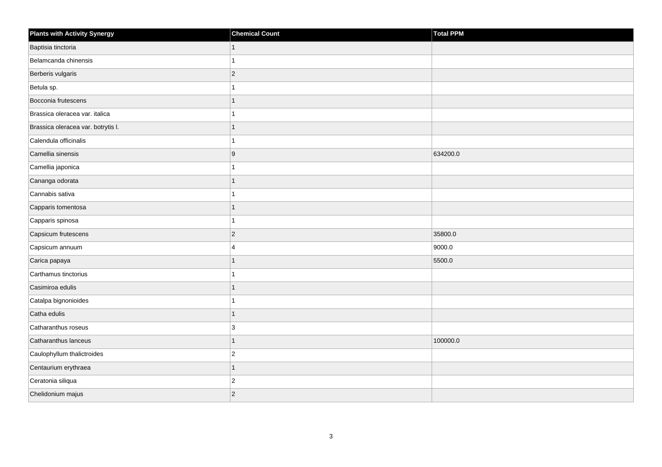| <b>Plants with Activity Synergy</b> | <b>Chemical Count</b> | Total PPM |
|-------------------------------------|-----------------------|-----------|
| Baptisia tinctoria                  |                       |           |
| Belamcanda chinensis                |                       |           |
| Berberis vulgaris                   | $\overline{2}$        |           |
| Betula sp.                          |                       |           |
| Bocconia frutescens                 |                       |           |
| Brassica oleracea var. italica      |                       |           |
| Brassica oleracea var. botrytis I.  |                       |           |
| Calendula officinalis               |                       |           |
| Camellia sinensis                   | 9                     | 634200.0  |
| Camellia japonica                   |                       |           |
| Cananga odorata                     |                       |           |
| Cannabis sativa                     |                       |           |
| Capparis tomentosa                  |                       |           |
| Capparis spinosa                    |                       |           |
| Capsicum frutescens                 | $\overline{2}$        | 35800.0   |
| Capsicum annuum                     | 4                     | 9000.0    |
| Carica papaya                       |                       | 5500.0    |
| Carthamus tinctorius                |                       |           |
| Casimiroa edulis                    | 1                     |           |
| Catalpa bignonioides                |                       |           |
| Catha edulis                        | 1                     |           |
| Catharanthus roseus                 | 3                     |           |
| Catharanthus lanceus                |                       | 100000.0  |
| Caulophyllum thalictroides          | $\overline{c}$        |           |
| Centaurium erythraea                | $\overline{1}$        |           |
| Ceratonia siliqua                   | $\overline{2}$        |           |
| Chelidonium majus                   | $\overline{c}$        |           |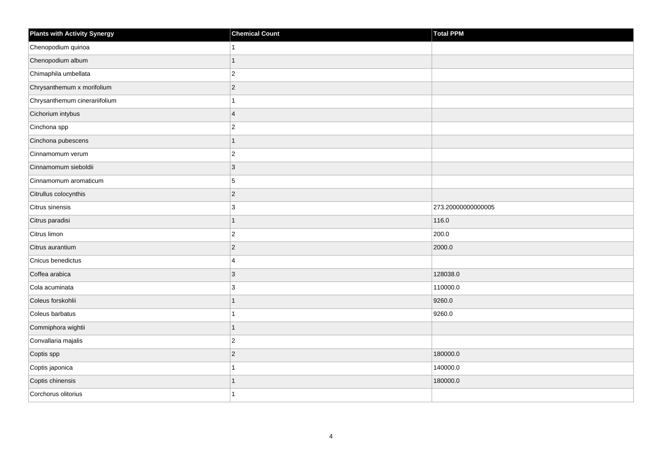| <b>Plants with Activity Synergy</b> | <b>Chemical Count</b> | <b>Total PPM</b>   |
|-------------------------------------|-----------------------|--------------------|
| Chenopodium quinoa                  |                       |                    |
| Chenopodium album                   |                       |                    |
| Chimaphila umbellata                | $\overline{2}$        |                    |
| Chrysanthemum x morifolium          | $\overline{c}$        |                    |
| Chrysanthemum cinerariifolium       |                       |                    |
| Cichorium intybus                   | $\overline{4}$        |                    |
| Cinchona spp                        | $\overline{c}$        |                    |
| Cinchona pubescens                  |                       |                    |
| Cinnamomum verum                    | $\overline{2}$        |                    |
| Cinnamomum sieboldii                | $\overline{3}$        |                    |
| Cinnamomum aromaticum               | 5                     |                    |
| Citrullus colocynthis               | $\overline{2}$        |                    |
| Citrus sinensis                     | 3                     | 273.20000000000005 |
| Citrus paradisi                     | 1                     | 116.0              |
| Citrus limon                        | $\overline{2}$        | 200.0              |
| Citrus aurantium                    | $\overline{2}$        | 2000.0             |
| Cnicus benedictus                   | 4                     |                    |
| Coffea arabica                      | 3                     | 128038.0           |
| Cola acuminata                      | 3                     | 110000.0           |
| Coleus forskohlii                   |                       | 9260.0             |
| Coleus barbatus                     |                       | 9260.0             |
| Commiphora wightii                  |                       |                    |
| Convallaria majalis                 | $\overline{2}$        |                    |
| Coptis spp                          | $\overline{2}$        | 180000.0           |
| Coptis japonica                     |                       | 140000.0           |
| Coptis chinensis                    |                       | 180000.0           |
| Corchorus olitorius                 |                       |                    |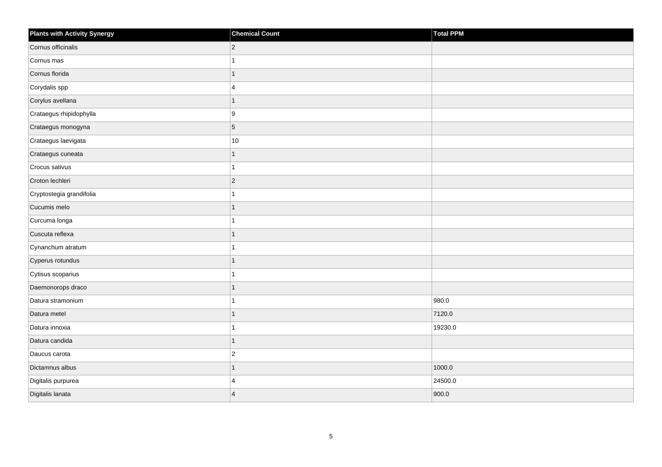| Plants with Activity Synergy | <b>Chemical Count</b> | Total PPM |
|------------------------------|-----------------------|-----------|
| Cornus officinalis           | $ 2\rangle$           |           |
| Cornus mas                   | 1                     |           |
| Cornus florida               | $\overline{1}$        |           |
| Corydalis spp                | $\overline{4}$        |           |
| Corylus avellana             | $\mathbf{1}$          |           |
| Crataegus rhipidophylla      | 9                     |           |
| Crataegus monogyna           | $\overline{5}$        |           |
| Crataegus laevigata          | $10$                  |           |
| Crataegus cuneata            | $\mathbf{1}$          |           |
| Crocus sativus               | $\mathbf{1}$          |           |
| Croton lechleri              | $ 2\rangle$           |           |
| Cryptostegia grandifolia     | $\mathbf{1}$          |           |
| Cucumis melo                 | $\overline{1}$        |           |
| Curcuma longa                | 1                     |           |
| Cuscuta reflexa              | $\overline{1}$        |           |
| Cynanchum atratum            | 1                     |           |
| Cyperus rotundus             | 1                     |           |
| Cytisus scoparius            | 1                     |           |
| Daemonorops draco            | 1                     |           |
| Datura stramonium            | 1                     | 980.0     |
| Datura metel                 | $\overline{1}$        | 7120.0    |
| Datura innoxia               | $\mathbf{1}$          | 19230.0   |
| Datura candida               | 1                     |           |
| Daucus carota                | $\overline{2}$        |           |
| Dictamnus albus              | $\overline{1}$        | 1000.0    |
| Digitalis purpurea           | 4                     | 24500.0   |
| Digitalis lanata             | $\overline{4}$        | 900.0     |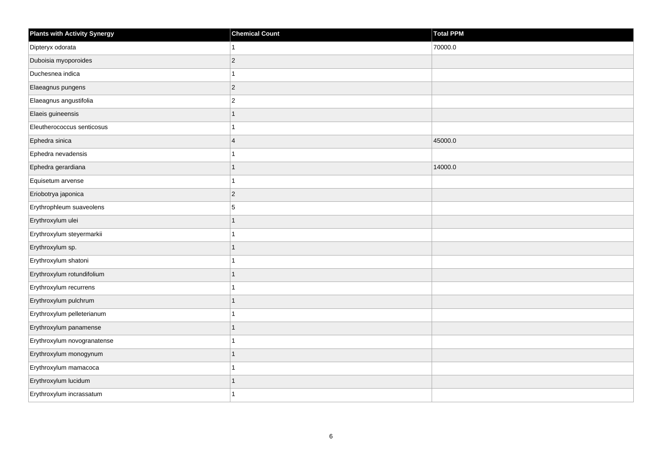| <b>Plants with Activity Synergy</b> | <b>Chemical Count</b>   | <b>Total PPM</b> |
|-------------------------------------|-------------------------|------------------|
| Dipteryx odorata                    |                         | 70000.0          |
| Duboisia myoporoides                | $\overline{2}$          |                  |
| Duchesnea indica                    |                         |                  |
| Elaeagnus pungens                   | $\overline{2}$          |                  |
| Elaeagnus angustifolia              | $\overline{2}$          |                  |
| Elaeis guineensis                   |                         |                  |
| Eleutherococcus senticosus          |                         |                  |
| Ephedra sinica                      | $\overline{\mathbf{A}}$ | 45000.0          |
| Ephedra nevadensis                  |                         |                  |
| Ephedra gerardiana                  | 1                       | 14000.0          |
| Equisetum arvense                   |                         |                  |
| Eriobotrya japonica                 | $ 2\rangle$             |                  |
| Erythrophleum suaveolens            | 5                       |                  |
| Erythroxylum ulei                   | 1                       |                  |
| Erythroxylum steyermarkii           |                         |                  |
| Erythroxylum sp.                    | 1                       |                  |
| Erythroxylum shatoni                |                         |                  |
| Erythroxylum rotundifolium          |                         |                  |
| Erythroxylum recurrens              |                         |                  |
| Erythroxylum pulchrum               |                         |                  |
| Erythroxylum pelleterianum          |                         |                  |
| Erythroxylum panamense              | 1                       |                  |
| Erythroxylum novogranatense         |                         |                  |
| Erythroxylum monogynum              |                         |                  |
| Erythroxylum mamacoca               |                         |                  |
| Erythroxylum lucidum                |                         |                  |
| Erythroxylum incrassatum            |                         |                  |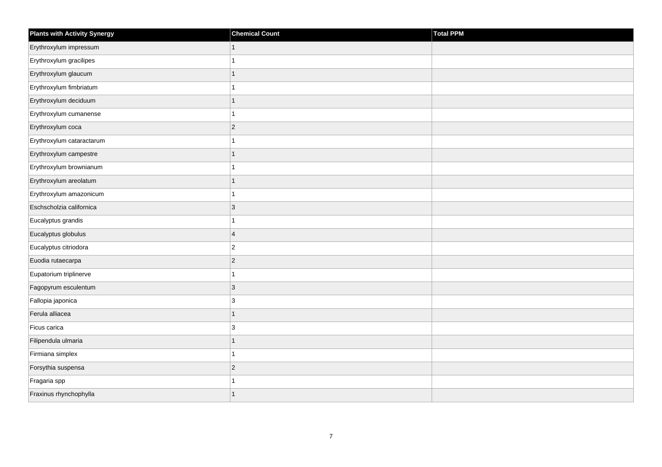| <b>Plants with Activity Synergy</b> | <b>Chemical Count</b> | Total PPM |
|-------------------------------------|-----------------------|-----------|
| Erythroxylum impressum              | $\mathbf{1}$          |           |
| Erythroxylum gracilipes             |                       |           |
| Erythroxylum glaucum                | 1                     |           |
| Erythroxylum fimbriatum             | 1                     |           |
| Erythroxylum deciduum               | $\overline{1}$        |           |
| Erythroxylum cumanense              | 1                     |           |
| Erythroxylum coca                   | $\overline{c}$        |           |
| Erythroxylum cataractarum           | 1                     |           |
| Erythroxylum campestre              | 1                     |           |
| Erythroxylum brownianum             | 1                     |           |
| Erythroxylum areolatum              | $\overline{1}$        |           |
| Erythroxylum amazonicum             | 1                     |           |
| Eschscholzia californica            | 3                     |           |
| Eucalyptus grandis                  | 1                     |           |
| Eucalyptus globulus                 | $\overline{4}$        |           |
| Eucalyptus citriodora               | $\boldsymbol{2}$      |           |
| Euodia rutaecarpa                   | $\overline{c}$        |           |
| Eupatorium triplinerve              | 1                     |           |
| Fagopyrum esculentum                | $\mathbf{3}$          |           |
| Fallopia japonica                   | 3                     |           |
| Ferula alliacea                     | $\overline{1}$        |           |
| Ficus carica                        | 3                     |           |
| Filipendula ulmaria                 | 1                     |           |
| Firmiana simplex                    | 1                     |           |
| Forsythia suspensa                  | $\overline{c}$        |           |
| Fragaria spp                        |                       |           |
| Fraxinus rhynchophylla              | $\overline{1}$        |           |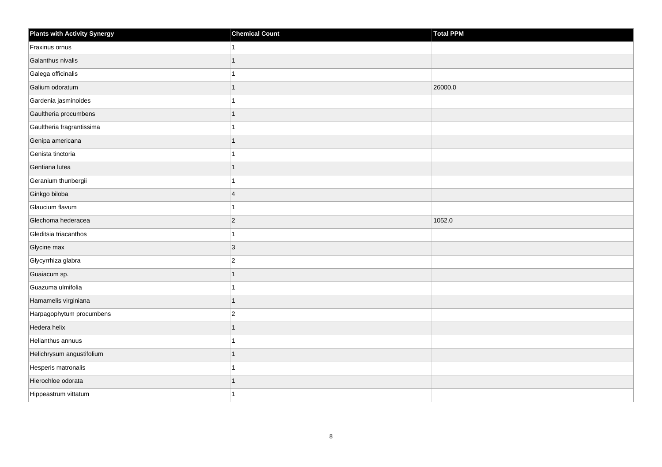| <b>Plants with Activity Synergy</b> | <b>Chemical Count</b> | Total PPM |
|-------------------------------------|-----------------------|-----------|
| Fraxinus ornus                      |                       |           |
| Galanthus nivalis                   |                       |           |
| Galega officinalis                  |                       |           |
| Galium odoratum                     | 1                     | 26000.0   |
| Gardenia jasminoides                |                       |           |
| Gaultheria procumbens               |                       |           |
| Gaultheria fragrantissima           |                       |           |
| Genipa americana                    | 1                     |           |
| Genista tinctoria                   |                       |           |
| Gentiana lutea                      | 1                     |           |
| Geranium thunbergii                 |                       |           |
| Ginkgo biloba                       | $\overline{4}$        |           |
| Glaucium flavum                     |                       |           |
| Glechoma hederacea                  | $\overline{2}$        | 1052.0    |
| Gleditsia triacanthos               |                       |           |
| Glycine max                         | $\overline{3}$        |           |
| Glycyrrhiza glabra                  | $\overline{2}$        |           |
| Guaiacum sp.                        |                       |           |
| Guazuma ulmifolia                   | 1                     |           |
| Hamamelis virginiana                | 1                     |           |
| Harpagophytum procumbens            | $\overline{2}$        |           |
| Hedera helix                        | $\overline{1}$        |           |
| Helianthus annuus                   |                       |           |
| Helichrysum angustifolium           |                       |           |
| Hesperis matronalis                 |                       |           |
| Hierochloe odorata                  |                       |           |
| Hippeastrum vittatum                |                       |           |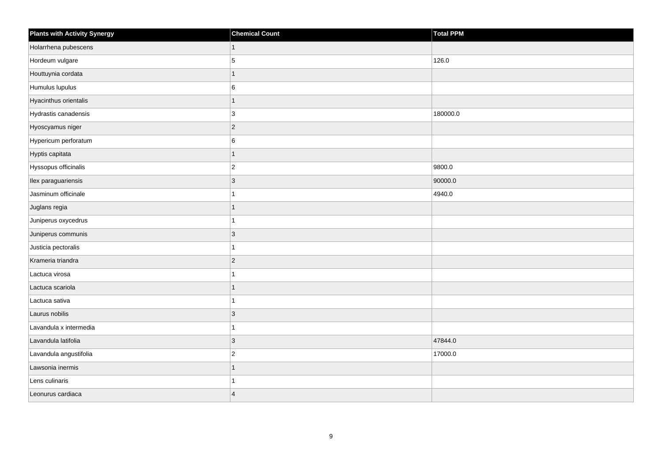| <b>Plants with Activity Synergy</b> | <b>Chemical Count</b> | Total PPM |
|-------------------------------------|-----------------------|-----------|
| Holarrhena pubescens                | $\overline{1}$        |           |
| Hordeum vulgare                     | 5                     | 126.0     |
| Houttuynia cordata                  |                       |           |
| Humulus lupulus                     | 6                     |           |
| Hyacinthus orientalis               |                       |           |
| Hydrastis canadensis                | $\mathbf{3}$          | 180000.0  |
| Hyoscyamus niger                    | $ 2\rangle$           |           |
| Hypericum perforatum                | 6                     |           |
| Hyptis capitata                     |                       |           |
| Hyssopus officinalis                | $ 2\rangle$           | 9800.0    |
| Ilex paraguariensis                 | 3                     | 90000.0   |
| Jasminum officinale                 |                       | 4940.0    |
| Juglans regia                       |                       |           |
| Juniperus oxycedrus                 |                       |           |
| Juniperus communis                  | $ 3\rangle$           |           |
| Justicia pectoralis                 |                       |           |
| Krameria triandra                   | $ 2\rangle$           |           |
| Lactuca virosa                      |                       |           |
| Lactuca scariola                    |                       |           |
| Lactuca sativa                      |                       |           |
| Laurus nobilis                      | 3                     |           |
| Lavandula x intermedia              |                       |           |
| Lavandula latifolia                 | $\mathbf{3}$          | 47844.0   |
| Lavandula angustifolia              | $\overline{2}$        | 17000.0   |
| Lawsonia inermis                    |                       |           |
| Lens culinaris                      |                       |           |
| Leonurus cardiaca                   | $\overline{4}$        |           |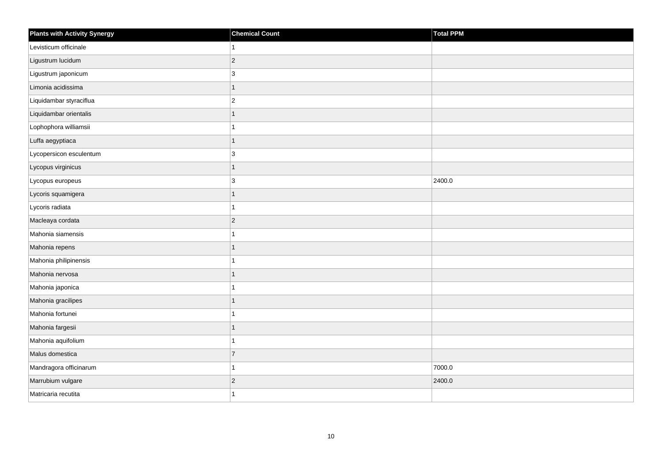| <b>Plants with Activity Synergy</b> | <b>Chemical Count</b>    | Total PPM |
|-------------------------------------|--------------------------|-----------|
| Levisticum officinale               |                          |           |
| Ligustrum lucidum                   | $\overline{2}$           |           |
| Ligustrum japonicum                 | 3                        |           |
| Limonia acidissima                  | $\overline{1}$           |           |
| Liquidambar styraciflua             | $\overline{c}$           |           |
| Liquidambar orientalis              |                          |           |
| Lophophora williamsii               | 1                        |           |
| Luffa aegyptiaca                    | 1                        |           |
| Lycopersicon esculentum             | 3                        |           |
| Lycopus virginicus                  | $\overline{1}$           |           |
| Lycopus europeus                    | 3                        | 2400.0    |
| Lycoris squamigera                  | $\overline{\phantom{a}}$ |           |
| Lycoris radiata                     | 1                        |           |
| Macleaya cordata                    | $\overline{2}$           |           |
| Mahonia siamensis                   |                          |           |
| Mahonia repens                      | 1                        |           |
| Mahonia philipinensis               |                          |           |
| Mahonia nervosa                     |                          |           |
| Mahonia japonica                    | 1                        |           |
| Mahonia gracilipes                  | 1                        |           |
| Mahonia fortunei                    |                          |           |
| Mahonia fargesii                    |                          |           |
| Mahonia aquifolium                  |                          |           |
| Malus domestica                     | $\overline{7}$           |           |
| Mandragora officinarum              | 1                        | 7000.0    |
| Marrubium vulgare                   | $\overline{2}$           | 2400.0    |
| Matricaria recutita                 |                          |           |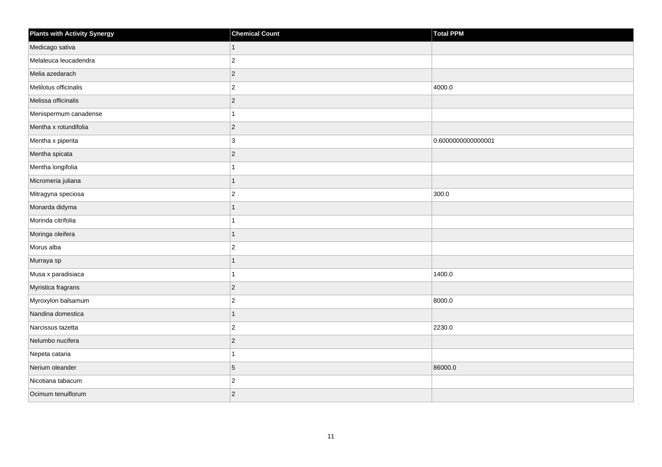| <b>Plants with Activity Synergy</b> | <b>Chemical Count</b> | <b>Total PPM</b>   |
|-------------------------------------|-----------------------|--------------------|
| Medicago sativa                     | $\mathbf{1}$          |                    |
| Melaleuca leucadendra               | $\overline{c}$        |                    |
| Melia azedarach                     | $\overline{c}$        |                    |
| Melilotus officinalis               | $\boldsymbol{2}$      | 4000.0             |
| Melissa officinalis                 | $\overline{c}$        |                    |
| Menispermum canadense               | 1                     |                    |
| Mentha x rotundifolia               | $\overline{c}$        |                    |
| Mentha x piperita                   | 3                     | 0.6000000000000001 |
| Mentha spicata                      | $\overline{c}$        |                    |
| Mentha longifolia                   | 1                     |                    |
| Micromeria juliana                  | 1                     |                    |
| Mitragyna speciosa                  | $\overline{c}$        | 300.0              |
| Monarda didyma                      | $\mathbf{1}$          |                    |
| Morinda citrifolia                  | 1                     |                    |
| Moringa oleifera                    | $\overline{1}$        |                    |
| Morus alba                          | $\overline{2}$        |                    |
| Murraya sp                          | 1                     |                    |
| Musa x paradisiaca                  | 1                     | 1400.0             |
| Myristica fragrans                  | $\overline{c}$        |                    |
| Myroxylon balsamum                  | $\overline{c}$        | 8000.0             |
| Nandina domestica                   | $\overline{1}$        |                    |
| Narcissus tazetta                   | $\boldsymbol{2}$      | 2230.0             |
| Nelumbo nucifera                    | $\overline{c}$        |                    |
| Nepeta cataria                      | 1                     |                    |
| Nerium oleander                     | 5                     | 86000.0            |
| Nicotiana tabacum                   | $\overline{c}$        |                    |
| Ocimum tenuiflorum                  | $\overline{2}$        |                    |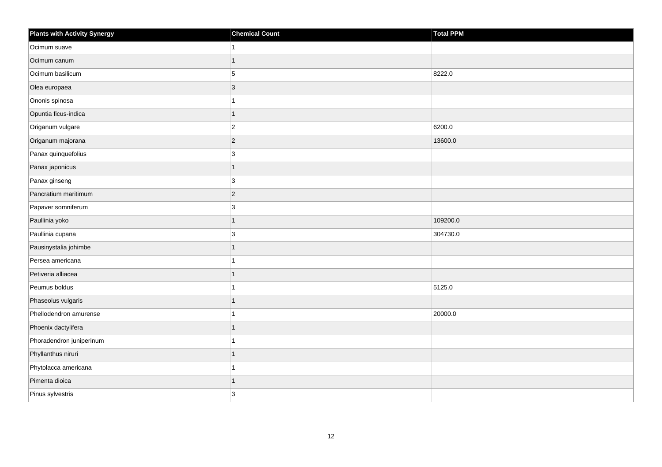| <b>Plants with Activity Synergy</b> | <b>Chemical Count</b> | <b>Total PPM</b> |
|-------------------------------------|-----------------------|------------------|
| Ocimum suave                        |                       |                  |
| Ocimum canum                        |                       |                  |
| Ocimum basilicum                    | 5                     | 8222.0           |
| Olea europaea                       | $\overline{3}$        |                  |
| Ononis spinosa                      |                       |                  |
| Opuntia ficus-indica                | 1                     |                  |
| Origanum vulgare                    | $\overline{2}$        | 6200.0           |
| Origanum majorana                   | $\overline{2}$        | 13600.0          |
| Panax quinquefolius                 | 3                     |                  |
| Panax japonicus                     | $\overline{1}$        |                  |
| Panax ginseng                       | 3                     |                  |
| Pancratium maritimum                | $\vert$ 2             |                  |
| Papaver somniferum                  | 3                     |                  |
| Paullinia yoko                      | 1                     | 109200.0         |
| Paullinia cupana                    | 3                     | 304730.0         |
| Pausinystalia johimbe               | 1                     |                  |
| Persea americana                    |                       |                  |
| Petiveria alliacea                  |                       |                  |
| Peumus boldus                       | 1                     | 5125.0           |
| Phaseolus vulgaris                  |                       |                  |
| Phellodendron amurense              |                       | 20000.0          |
| Phoenix dactylifera                 | 1                     |                  |
| Phoradendron juniperinum            |                       |                  |
| Phyllanthus niruri                  |                       |                  |
| Phytolacca americana                | 1                     |                  |
| Pimenta dioica                      | 1                     |                  |
| Pinus sylvestris                    | 3                     |                  |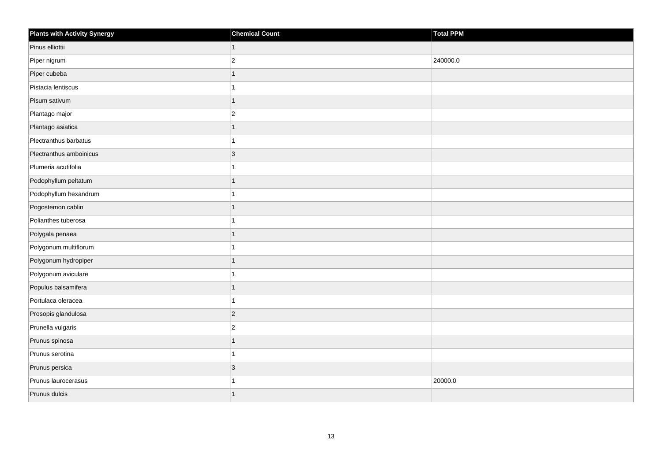| <b>Plants with Activity Synergy</b> | <b>Chemical Count</b> | Total PPM |
|-------------------------------------|-----------------------|-----------|
| Pinus elliottii                     | 1                     |           |
| Piper nigrum                        | $\overline{2}$        | 240000.0  |
| Piper cubeba                        |                       |           |
| Pistacia lentiscus                  |                       |           |
| Pisum sativum                       | 1                     |           |
| Plantago major                      | $\overline{c}$        |           |
| Plantago asiatica                   | 1                     |           |
| Plectranthus barbatus               |                       |           |
| Plectranthus amboinicus             | 3                     |           |
| Plumeria acutifolia                 |                       |           |
| Podophyllum peltatum                | 1                     |           |
| Podophyllum hexandrum               |                       |           |
| Pogostemon cablin                   | 1                     |           |
| Polianthes tuberosa                 |                       |           |
| Polygala penaea                     |                       |           |
| Polygonum multiflorum               |                       |           |
| Polygonum hydropiper                |                       |           |
| Polygonum aviculare                 |                       |           |
| Populus balsamifera                 | 1                     |           |
| Portulaca oleracea                  |                       |           |
| Prosopis glandulosa                 | $ 2\rangle$           |           |
| Prunella vulgaris                   | $\overline{2}$        |           |
| Prunus spinosa                      | 1                     |           |
| Prunus serotina                     |                       |           |
| Prunus persica                      | $\overline{3}$        |           |
| Prunus laurocerasus                 |                       | 20000.0   |
| Prunus dulcis                       | 1                     |           |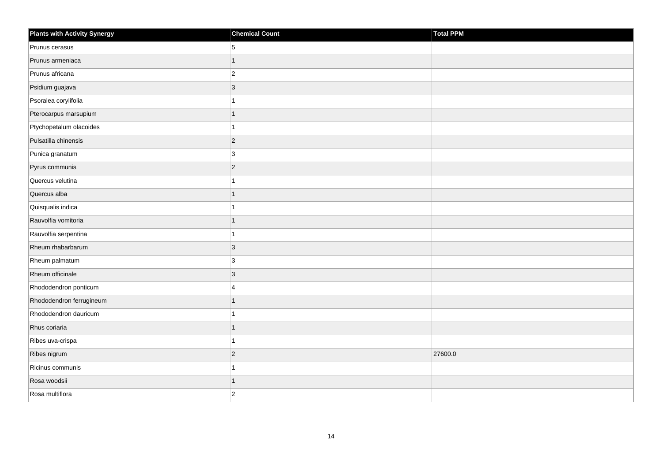| <b>Plants with Activity Synergy</b> | <b>Chemical Count</b> | Total PPM |
|-------------------------------------|-----------------------|-----------|
| Prunus cerasus                      | 5                     |           |
| Prunus armeniaca                    | $\overline{1}$        |           |
| Prunus africana                     | $\overline{c}$        |           |
| Psidium guajava                     | $\overline{3}$        |           |
| Psoralea corylifolia                | 1                     |           |
| Pterocarpus marsupium               | 1                     |           |
| Ptychopetalum olacoides             | 1                     |           |
| Pulsatilla chinensis                | $\overline{c}$        |           |
| Punica granatum                     | 3                     |           |
| Pyrus communis                      | $\overline{c}$        |           |
| Quercus velutina                    | 1                     |           |
| Quercus alba                        | $\overline{1}$        |           |
| Quisqualis indica                   | 1                     |           |
| Rauvolfia vomitoria                 | $\overline{1}$        |           |
| Rauvolfia serpentina                | 1                     |           |
| Rheum rhabarbarum                   | $\mathbf{3}$          |           |
| Rheum palmatum                      | 3                     |           |
| Rheum officinale                    | $\overline{3}$        |           |
| Rhododendron ponticum               | 4                     |           |
| Rhododendron ferrugineum            | $\overline{1}$        |           |
| Rhododendron dauricum               | 1                     |           |
| Rhus coriaria                       | $\mathbf{1}$          |           |
| Ribes uva-crispa                    | 1                     |           |
| Ribes nigrum                        | $\overline{2}$        | 27600.0   |
| Ricinus communis                    | 1                     |           |
| Rosa woodsii                        | 1                     |           |
| Rosa multiflora                     | $\overline{2}$        |           |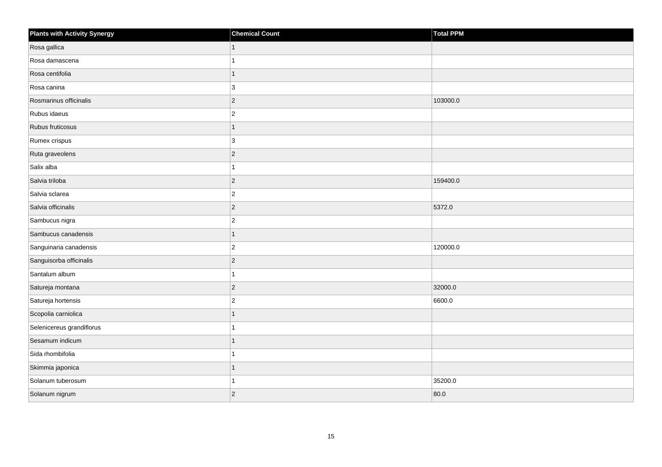| <b>Plants with Activity Synergy</b> | <b>Chemical Count</b> | Total PPM |
|-------------------------------------|-----------------------|-----------|
| Rosa gallica                        | 1                     |           |
| Rosa damascena                      |                       |           |
| Rosa centifolia                     |                       |           |
| Rosa canina                         | 3                     |           |
| Rosmarinus officinalis              | $ 2\rangle$           | 103000.0  |
| Rubus idaeus                        | $\boldsymbol{2}$      |           |
| Rubus fruticosus                    |                       |           |
| Rumex crispus                       | 3                     |           |
| Ruta graveolens                     | $ 2\rangle$           |           |
| Salix alba                          |                       |           |
| Salvia triloba                      | $ 2\rangle$           | 159400.0  |
| Salvia sclarea                      | $ 2\rangle$           |           |
| Salvia officinalis                  | $ 2\rangle$           | 5372.0    |
| Sambucus nigra                      | $ 2\rangle$           |           |
| Sambucus canadensis                 |                       |           |
| Sanguinaria canadensis              | $\vert$ 2             | 120000.0  |
| Sanguisorba officinalis             | $\overline{2}$        |           |
| Santalum album                      |                       |           |
| Satureja montana                    | $ 2\rangle$           | 32000.0   |
| Satureja hortensis                  | $\overline{c}$        | 6600.0    |
| Scopolia carniolica                 |                       |           |
| Selenicereus grandiflorus           |                       |           |
| Sesamum indicum                     |                       |           |
| Sida rhombifolia                    |                       |           |
| Skimmia japonica                    |                       |           |
| Solanum tuberosum                   |                       | 35200.0   |
| Solanum nigrum                      | $ 2\rangle$           | 80.0      |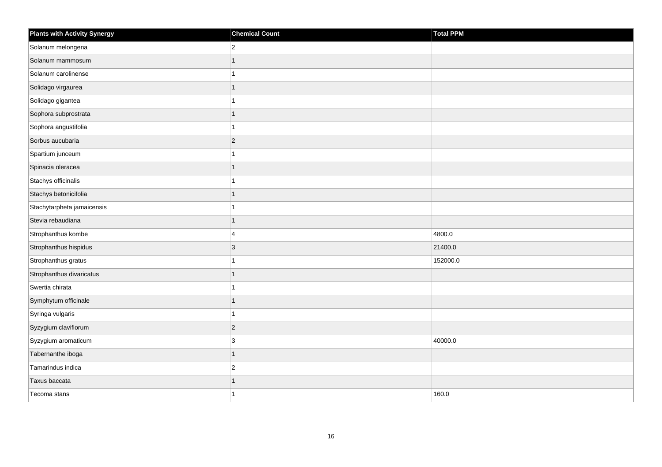| <b>Plants with Activity Synergy</b> | <b>Chemical Count</b> | Total PPM |
|-------------------------------------|-----------------------|-----------|
| Solanum melongena                   | $\overline{2}$        |           |
| Solanum mammosum                    |                       |           |
| Solanum carolinense                 |                       |           |
| Solidago virgaurea                  | 1                     |           |
| Solidago gigantea                   |                       |           |
| Sophora subprostrata                |                       |           |
| Sophora angustifolia                | 1                     |           |
| Sorbus aucubaria                    | $\overline{2}$        |           |
| Spartium junceum                    |                       |           |
| Spinacia oleracea                   | 1                     |           |
| Stachys officinalis                 |                       |           |
| Stachys betonicifolia               |                       |           |
| Stachytarpheta jamaicensis          | 1                     |           |
| Stevia rebaudiana                   | 1                     |           |
| Strophanthus kombe                  | 4                     | 4800.0    |
| Strophanthus hispidus               | $\overline{3}$        | 21400.0   |
| Strophanthus gratus                 |                       | 152000.0  |
| Strophanthus divaricatus            |                       |           |
| Swertia chirata                     |                       |           |
| Symphytum officinale                |                       |           |
| Syringa vulgaris                    |                       |           |
| Syzygium claviflorum                | $\overline{2}$        |           |
| Syzygium aromaticum                 | 3                     | 40000.0   |
| Tabernanthe iboga                   |                       |           |
| Tamarindus indica                   | $\overline{c}$        |           |
| Taxus baccata                       |                       |           |
| Tecoma stans                        |                       | 160.0     |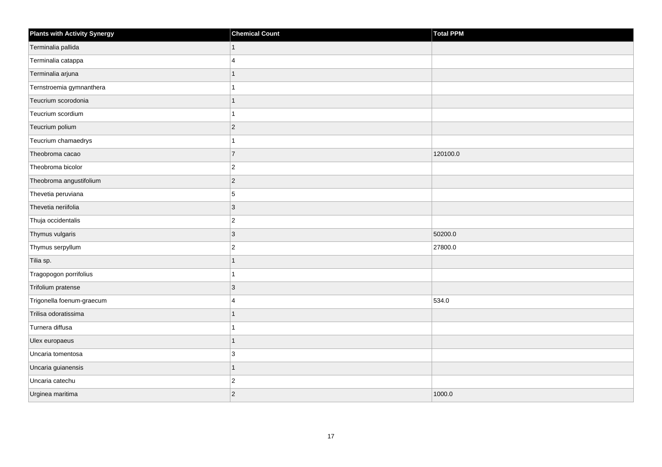| <b>Plants with Activity Synergy</b> | <b>Chemical Count</b> | Total PPM |
|-------------------------------------|-----------------------|-----------|
| Terminalia pallida                  | 1                     |           |
| Terminalia catappa                  | 4                     |           |
| Terminalia arjuna                   |                       |           |
| Ternstroemia gymnanthera            |                       |           |
| Teucrium scorodonia                 |                       |           |
| Teucrium scordium                   |                       |           |
| Teucrium polium                     | $\overline{2}$        |           |
| Teucrium chamaedrys                 |                       |           |
| Theobroma cacao                     | $\overline{7}$        | 120100.0  |
| Theobroma bicolor                   | $\overline{2}$        |           |
| Theobroma angustifolium             | $\overline{2}$        |           |
| Thevetia peruviana                  | 5                     |           |
| Thevetia neriifolia                 | 3                     |           |
| Thuja occidentalis                  | $\overline{2}$        |           |
| Thymus vulgaris                     | 3                     | 50200.0   |
| Thymus serpyllum                    | $\overline{2}$        | 27800.0   |
| Tilia sp.                           |                       |           |
| Tragopogon porrifolius              |                       |           |
| Trifolium pratense                  | 3                     |           |
| Trigonella foenum-graecum           | $\boldsymbol{\Delta}$ | 534.0     |
| Trilisa odoratissima                |                       |           |
| Turnera diffusa                     |                       |           |
| Ulex europaeus                      |                       |           |
| Uncaria tomentosa                   | 3                     |           |
| Uncaria guianensis                  | $\overline{1}$        |           |
| Uncaria catechu                     | $\overline{2}$        |           |
| Urginea maritima                    | $\overline{c}$        | 1000.0    |